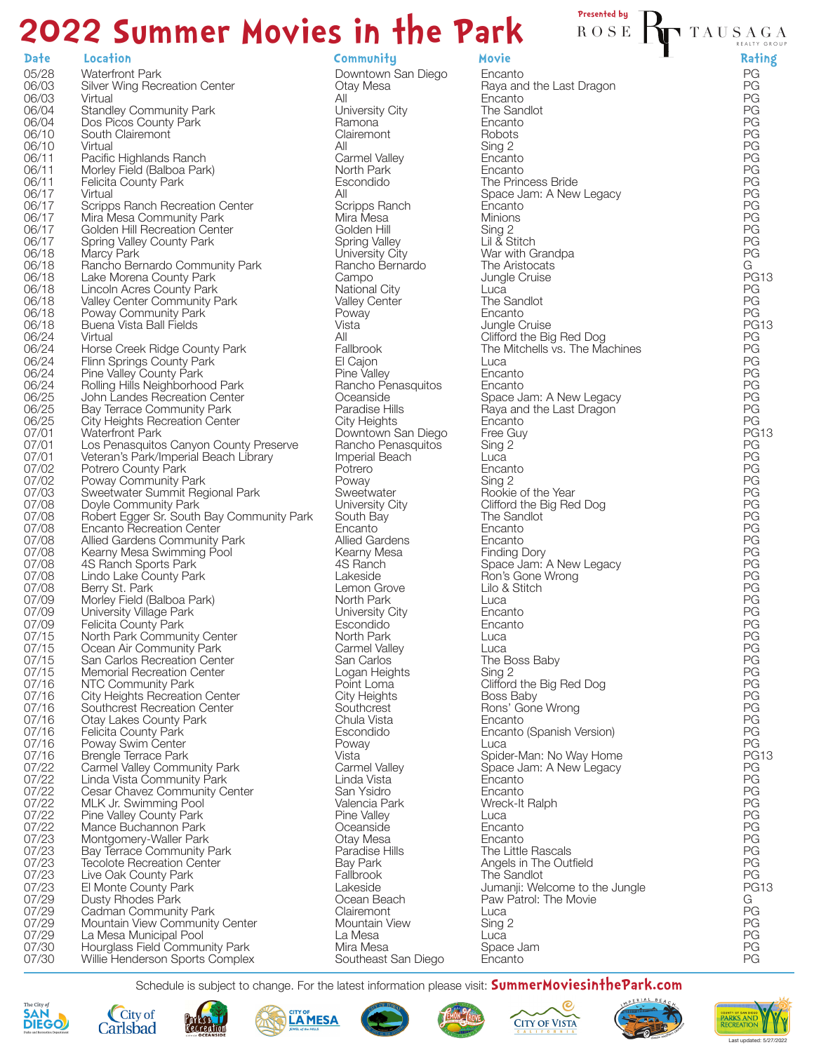# **2022 Summer Movies in the Park** Presented by

## **Date Location Community Movie Rating**

| 05/28          | <b>Waterfront Park</b>                                             |
|----------------|--------------------------------------------------------------------|
| 06/03<br>06/03 | Silver Wing Recreation Center<br>Virtual                           |
| 06/04          | <b>Standley Community Park</b>                                     |
| 06/04          | Dos Picos County Park                                              |
| 06/10<br>06/10 | South Clairemont<br>Virtual                                        |
| 06/11          | Pacific Highlands Ranch                                            |
| 06/11<br>06/11 | Morley Field (Balboa Park)<br><b>Felicita County Park</b>          |
| 06/17          | Virtual                                                            |
| 06/17          | Scripps Ranch Recreation Center                                    |
| 06/17<br>06/17 | Mira Mesa Community Park<br>Golden Hill Recreation Center          |
| 06/17          | Spring Valley County Park                                          |
| 06/18          | Marcy Park                                                         |
| 06/18<br>06/18 | Rancho Bernardo Community Park<br>Lake Morena County Park          |
| 06/18          | Lincoln Acres County Park                                          |
| 06/18<br>06/18 | Valley Center Community Park<br>Poway Community Park               |
| 06/18          | Buena Vista Ball Fields                                            |
| 06/24          | Virtual                                                            |
| 06/24<br>06/24 | Horse Creek Ridge County Park<br>Flinn Springs County Park         |
| 06/24          | Pine Valley County Park                                            |
| 06/24          | Rolling Hills Neighborhood Park                                    |
| 06/25<br>06/25 | John Landes Recreation Center<br><b>Bay Terrace Community Park</b> |
| 06/25          | <b>City Heights Recreation Center</b>                              |
| 07/01<br>07/01 | <b>Waterfront Park</b><br>Los Penasquitos Canyon County Preserve   |
| 07/01          | Veteran's Park/Imperial Beach Library                              |
| 07/02          | Potrero County Park                                                |
| 07/02<br>07/03 | Poway Community Park<br>Sweetwater Summit Regional Park            |
| 07/08          | Doyle Community Park                                               |
| 07/08          | Robert Egger Sr. South Bay Community Park                          |
| 07/08<br>07/08 | <b>Encanto Recreation Center</b><br>Allied Gardens Community Park  |
| 07/08          | Kearny Mesa Swimming Pool                                          |
| 07/08<br>07/08 | 4S Ranch Sports Park<br>Lindo Lake County Park                     |
| 07/08          | Berry St. Park                                                     |
| 07/09          | Morley Field (Balboa Park)                                         |
| 07/09<br>07/09 | University Village Park<br>Felicita County Park                    |
| 07/15          | North Park Community Center                                        |
| 07/15<br>07/15 | Ocean Air Community Park<br>San Carlos Recreation Center           |
| 07/15          | Memorial Recreation Center                                         |
| 07/16          | NTC Community Park                                                 |
| 07/16<br>07/16 | City Heights Recreation Center<br>Southcrest Recreation Center     |
| 07/16          | <b>Otay Lakes County Park</b>                                      |
| 07/16<br>07/16 | <b>Felicita County Park</b><br>Poway Swim Center                   |
| 07/16          | <b>Brengle Terrace Park</b>                                        |
| 07/22          | <b>Carmel Valley Community Park</b>                                |
| 07/22<br>07/22 | Linda Vista Community Park<br>Cesar Chavez Community Center        |
| 07/22          | MLK Jr. Swimming Pool                                              |
| 07/22<br>07/22 | Pine Valley County Park<br>Mance Buchannon Park                    |
| 07/23          | Montgomery-Waller Park                                             |
| 07/23          | <b>Bay Terrace Community Park</b>                                  |
| 07/23<br>07/23 | <b>Tecolote Recreation Center</b><br>Live Oak County Park          |
| 07/23          | El Monte County Park                                               |
| 07/29          | Dusty Rhodes Park                                                  |
| 07/29<br>07/29 | Cadman Community Park<br>Mountain View Community Center            |
| 07/29          | La Mesa Municipal Pool                                             |
| 07/30<br>07/30 | Hourglass Field Community Park<br>Willie Henderson Sports Complex  |
|                |                                                                    |

Downtown San Diego Otay Mesa All University City Ramona **Clairemont** All Carmel Valley North Park Escondido All Scripps Ranch Mira Mesa Golden Hill Spring Valley University City Rancho Bernardo Campo National City Valley Center Poway Vista All **Fallbrook** El Cajon Pine Valley Rancho Penasquitos **Oceanside** Paradise Hills City Heights Downtown San Diego Rancho Penasquitos Imperial Beach Potrero Poway **Sweetwater** University City South Bay Encanto Allied Gardens Kearny Mesa 4S Ranch Lakeside Lemon Grove North Park University City Escondido North Park Carmel Valley San Carlos Logan Heights Point Loma City Heights **Southcrest** Chula Vista Escondido Poway Vista Carmel Valley Linda Vista San Ysidro Valencia Park Pine Valley **Oceanside** Otay Mesa Paradise Hills Bay Park Fallbrook Lakeside Ocean Beach **Clairemont** Mountain View La Mesa Mira Mesa Southeast San Diego

Encanto Raya and the Last Dragon **Encanto** The Sandlot Encanto Robots Sing 2 Encanto Encanto The Princess Bride Space Jam: A New Legacy Encanto **Minions** Sing 2 Lil & Stitch War with Grandpa The Aristocats Jungle Cruise **Luca** The Sandlot Encanto Jungle Cruise Clifford the Big Red Dog The Mitchells vs. The Machines Luca **Encanto** Encanto Space Jam: A New Legacy Raya and the Last Dragon Encanto Free Guy Sing 2 Luca Encanto Sing 2 Rookie of the Year Clifford the Big Red Dog The Sandlot Encanto Encanto Finding Dory Space Jam: A New Legacy Ron's Gone Wrong Lilo & Stitch Luca Encanto Encanto Luca Luca The Boss Baby Sing 2 Clifford the Big Red Dog Boss Baby Rons' Gone Wrong Encanto Encanto (Spanish Version) Luca Spider-Man: No Way Home Space Jam: A New Legacy **Encanto** Encanto Wreck-It Ralph Luca Encanto **Encanto** The Little Rascals Angels in The Outfield The Sandlot Jumanii: Welcome to the Jungle Paw Patrol: The Movie Luca Sing 2 Luca Space Jam Encanto

## TAUSA GA R EAL TY GROU P

PG PG PG PG PG PG PG PG PG PG PG PG PG PG PG PG G PG13 PG PG PG PG13 PG PG PG PG PG PG PG PG PG13 PG PG PG PG PG PG PG PG PG PG PG PG PG PG PG PG PG PG PG PG PG PG PG PG PG PG PG13 PG PG PG PG PG PG PG PG PG PG PG13 G PG PG PG

Schedule is subject to change. For the latest information please visit: **SummerMoviesinthePark.com**

















PG PG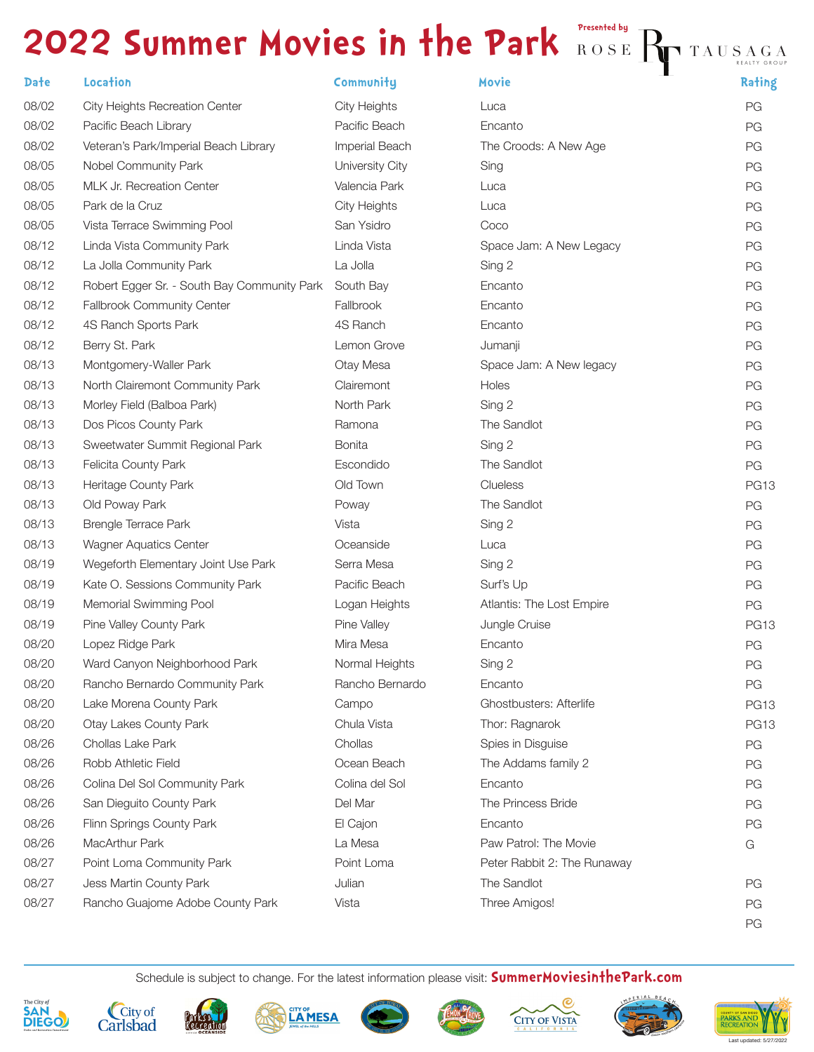## **2022 Summer Movies in the Park ROSE Presented by** Ry TAUSAGA

| <b>Date</b> | Location                                    | Community           | Movie                       | Rating      |
|-------------|---------------------------------------------|---------------------|-----------------------------|-------------|
| 08/02       | City Heights Recreation Center              | <b>City Heights</b> | Luca                        | PG          |
| 08/02       | Pacific Beach Library                       | Pacific Beach       | Encanto                     | PG          |
| 08/02       | Veteran's Park/Imperial Beach Library       | Imperial Beach      | The Croods: A New Age       | PG          |
| 08/05       | Nobel Community Park                        | University City     | Sing                        | PG          |
| 08/05       | MLK Jr. Recreation Center                   | Valencia Park       | Luca                        | PG          |
| 08/05       | Park de la Cruz                             | <b>City Heights</b> | Luca                        | PG          |
| 08/05       | Vista Terrace Swimming Pool                 | San Ysidro          | Coco                        | PG          |
| 08/12       | Linda Vista Community Park                  | Linda Vista         | Space Jam: A New Legacy     | PG          |
| 08/12       | La Jolla Community Park                     | La Jolla            | Sing 2                      | PG          |
| 08/12       | Robert Egger Sr. - South Bay Community Park | South Bay           | Encanto                     | PG          |
| 08/12       | Fallbrook Community Center                  | Fallbrook           | Encanto                     | PG          |
| 08/12       | 4S Ranch Sports Park                        | 4S Ranch            | Encanto                     | PG          |
| 08/12       | Berry St. Park                              | Lemon Grove         | Jumanji                     | PG          |
| 08/13       | Montgomery-Waller Park                      | Otay Mesa           | Space Jam: A New legacy     | PG          |
| 08/13       | North Clairemont Community Park             | Clairemont          | Holes                       | PG          |
| 08/13       | Morley Field (Balboa Park)                  | North Park          | Sing 2                      | PG          |
| 08/13       | Dos Picos County Park                       | Ramona              | The Sandlot                 | PG          |
| 08/13       | Sweetwater Summit Regional Park             | <b>Bonita</b>       | Sing 2                      | PG          |
| 08/13       | Felicita County Park                        | Escondido           | The Sandlot                 | PG          |
| 08/13       | Heritage County Park                        | Old Town            | Clueless                    | <b>PG13</b> |
| 08/13       | Old Poway Park                              | Poway               | The Sandlot                 | PG          |
| 08/13       | <b>Brengle Terrace Park</b>                 | Vista               | Sing 2                      | PG          |
| 08/13       | Wagner Aquatics Center                      | Oceanside           | Luca                        | PG          |
| 08/19       | Wegeforth Elementary Joint Use Park         | Serra Mesa          | Sing 2                      | PG          |
| 08/19       | Kate O. Sessions Community Park             | Pacific Beach       | Surf's Up                   | PG          |
| 08/19       | Memorial Swimming Pool                      | Logan Heights       | Atlantis: The Lost Empire   | PG          |
| 08/19       | Pine Valley County Park                     | Pine Valley         | Jungle Cruise               | <b>PG13</b> |
| 08/20       | Lopez Ridge Park                            | Mira Mesa           | Encanto                     | PG          |
| 08/20       | Ward Canyon Neighborhood Park               | Normal Heights      | Sing 2                      | PG          |
| 08/20       | Rancho Bernardo Community Park              | Rancho Bernardo     | Encanto                     | PG          |
| 08/20       | Lake Morena County Park                     | Campo               | Ghostbusters: Afterlife     | <b>PG13</b> |
| 08/20       | <b>Otay Lakes County Park</b>               | Chula Vista         | Thor: Ragnarok              | <b>PG13</b> |
| 08/26       | Chollas Lake Park                           | Chollas             | Spies in Disguise           | PG          |
| 08/26       | Robb Athletic Field                         | Ocean Beach         | The Addams family 2         | PG          |
| 08/26       | Colina Del Sol Community Park               | Colina del Sol      | Encanto                     | PG          |
| 08/26       | San Dieguito County Park                    | Del Mar             | The Princess Bride          | PG          |
| 08/26       | Flinn Springs County Park                   | El Cajon            | Encanto                     | PG          |
| 08/26       | MacArthur Park                              | La Mesa             | Paw Patrol: The Movie       | G           |
| 08/27       | Point Loma Community Park                   | Point Loma          | Peter Rabbit 2: The Runaway |             |
| 08/27       | Jess Martin County Park                     | Julian              | The Sandlot                 | PG          |
| 08/27       | Rancho Guajome Adobe County Park            | Vista               | Three Amigos!               | PG          |
|             |                                             |                     |                             |             |

Schedule is subject to change. For the latest information please visit: **SummerMoviesinthePark.com**



















PG